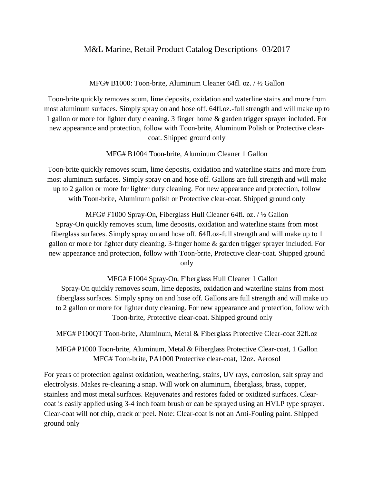## M&L Marine, Retail Product Catalog Descriptions 03/2017

MFG# B1000: Toon-brite, Aluminum Cleaner 64fl. oz. / ½ Gallon

Toon-brite quickly removes scum, lime deposits, oxidation and waterline stains and more from most aluminum surfaces. Simply spray on and hose off. 64fl.oz.-full strength and will make up to 1 gallon or more for lighter duty cleaning. 3 finger home & garden trigger sprayer included. For new appearance and protection, follow with Toon-brite, Aluminum Polish or Protective clearcoat. Shipped ground only

MFG# B1004 Toon-brite, Aluminum Cleaner 1 Gallon

Toon-brite quickly removes scum, lime deposits, oxidation and waterline stains and more from most aluminum surfaces. Simply spray on and hose off. Gallons are full strength and will make up to 2 gallon or more for lighter duty cleaning. For new appearance and protection, follow with Toon-brite, Aluminum polish or Protective clear-coat. Shipped ground only

MFG# F1000 Spray-On, Fiberglass Hull Cleaner 64fl. oz. / ½ Gallon Spray-On quickly removes scum, lime deposits, oxidation and waterline stains from most fiberglass surfaces. Simply spray on and hose off. 64fl.oz-full strength and will make up to 1 gallon or more for lighter duty cleaning. 3-finger home & garden trigger sprayer included. For new appearance and protection, follow with Toon-brite, Protective clear-coat. Shipped ground only

MFG# F1004 Spray-On, Fiberglass Hull Cleaner 1 Gallon Spray-On quickly removes scum, lime deposits, oxidation and waterline stains from most fiberglass surfaces. Simply spray on and hose off. Gallons are full strength and will make up to 2 gallon or more for lighter duty cleaning. For new appearance and protection, follow with Toon-brite, Protective clear-coat. Shipped ground only

MFG# P100QT Toon-brite, Aluminum, Metal & Fiberglass Protective Clear-coat 32fl.oz

MFG# P1000 Toon-brite, Aluminum, Metal & Fiberglass Protective Clear-coat, 1 Gallon MFG# Toon-brite, PA1000 Protective clear-coat, 12oz. Aerosol

For years of protection against oxidation, weathering, stains, UV rays, corrosion, salt spray and electrolysis. Makes re-cleaning a snap. Will work on aluminum, fiberglass, brass, copper, stainless and most metal surfaces. Rejuvenates and restores faded or oxidized surfaces. Clearcoat is easily applied using 3-4 inch foam brush or can be sprayed using an HVLP type sprayer. Clear-coat will not chip, crack or peel. Note: Clear-coat is not an Anti-Fouling paint. Shipped ground only